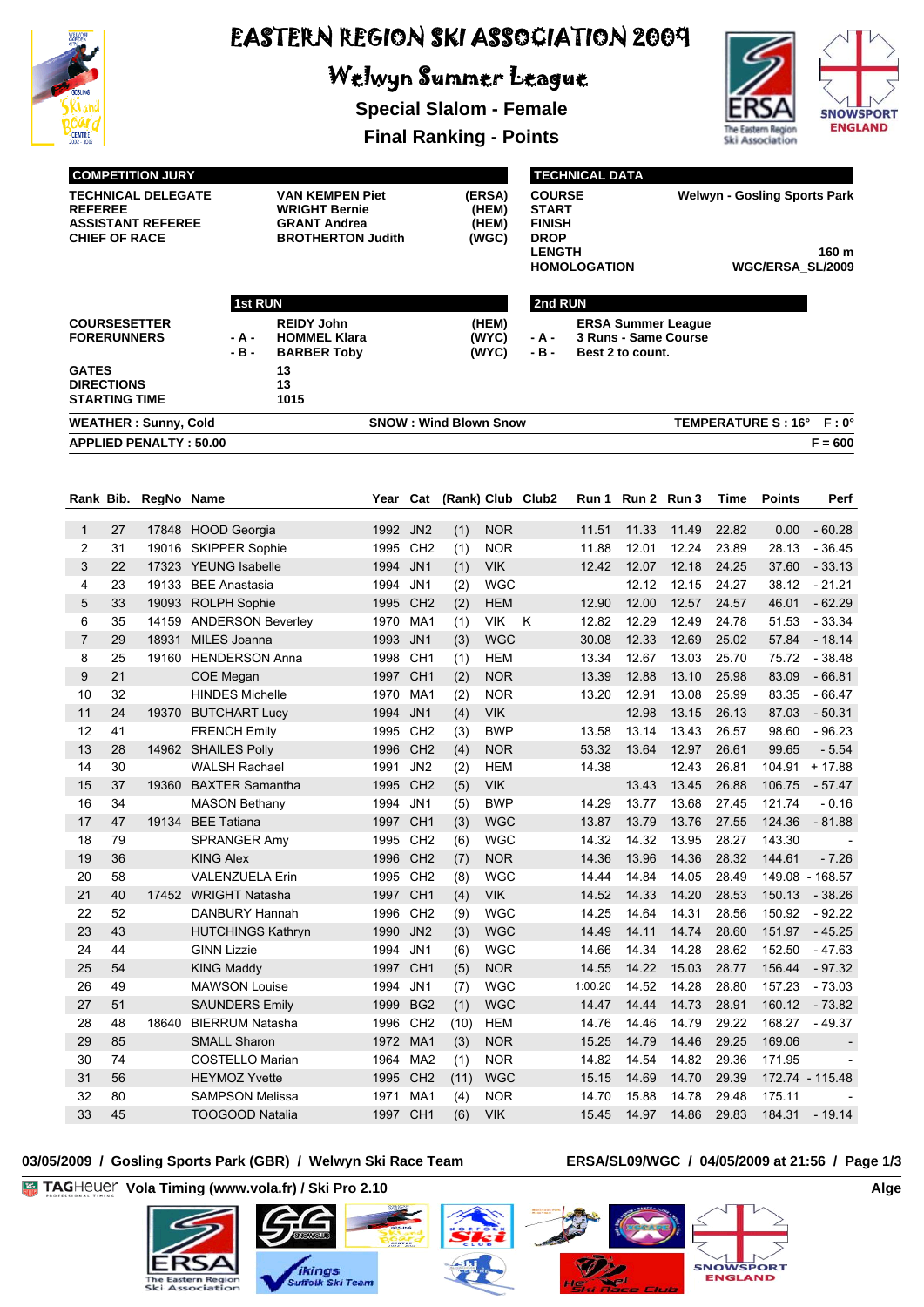

# Welwyn Summer League

**Special Slalom - Female**



**Final Ranking - Points**

|                     |                                           | <b>COMPETITION JURY</b>                               |                                            |                                                                                                   |              |                        |                              |                                   |                                                                                |                     | <b>TECHNICAL DATA</b> |                                                   |                                                                         |                           |                           |  |  |  |
|---------------------|-------------------------------------------|-------------------------------------------------------|--------------------------------------------|---------------------------------------------------------------------------------------------------|--------------|------------------------|------------------------------|-----------------------------------|--------------------------------------------------------------------------------|---------------------|-----------------------|---------------------------------------------------|-------------------------------------------------------------------------|---------------------------|---------------------------|--|--|--|
| <b>REFEREE</b>      | <b>CHIEF OF RACE</b>                      | <b>TECHNICAL DELEGATE</b><br><b>ASSISTANT REFEREE</b> |                                            | <b>VAN KEMPEN Piet</b><br><b>WRIGHT Bernie</b><br><b>GRANT Andrea</b><br><b>BROTHERTON Judith</b> |              |                        |                              | (ERSA)<br>(HEM)<br>(HEM)<br>(WGC) | <b>COURSE</b><br><b>START</b><br><b>FINISH</b><br><b>DROP</b><br><b>LENGTH</b> | <b>HOMOLOGATION</b> |                       |                                                   | <b>Welwyn - Gosling Sports Park</b><br>160 m<br><b>WGC/ERSA SL/2009</b> |                           |                           |  |  |  |
|                     |                                           |                                                       |                                            |                                                                                                   |              |                        |                              |                                   |                                                                                |                     |                       |                                                   |                                                                         |                           |                           |  |  |  |
|                     |                                           |                                                       | 1st RUN                                    |                                                                                                   |              |                        |                              |                                   |                                                                                | 2nd RUN             |                       |                                                   |                                                                         |                           |                           |  |  |  |
|                     | <b>FORERUNNERS</b>                        | <b>COURSESETTER</b>                                   | - A -<br>- B -                             | <b>REIDY John</b><br><b>HOMMEL Klara</b><br><b>BARBER Toby</b>                                    |              |                        |                              | (HEM)<br>(WYC)<br>(WYC)           | - A -<br>- B -                                                                 |                     | Best 2 to count.      | <b>ERSA Summer League</b><br>3 Runs - Same Course |                                                                         |                           |                           |  |  |  |
| <b>GATES</b>        | <b>DIRECTIONS</b><br><b>STARTING TIME</b> |                                                       |                                            | 13<br>13<br>1015                                                                                  |              |                        |                              |                                   |                                                                                |                     |                       |                                                   |                                                                         |                           |                           |  |  |  |
|                     |                                           | <b>WEATHER: Sunny, Cold</b>                           |                                            |                                                                                                   |              |                        | <b>SNOW: Wind Blown Snow</b> |                                   |                                                                                |                     |                       |                                                   |                                                                         | <b>TEMPERATURE S: 16°</b> | $F: 0^{\circ}$            |  |  |  |
|                     |                                           | <b>APPLIED PENALTY: 50.00</b>                         |                                            |                                                                                                   |              |                        |                              |                                   |                                                                                |                     |                       |                                                   |                                                                         |                           | $F = 600$                 |  |  |  |
|                     |                                           |                                                       |                                            |                                                                                                   |              |                        |                              |                                   |                                                                                |                     |                       |                                                   |                                                                         |                           |                           |  |  |  |
|                     | Rank Bib.                                 | RegNo Name                                            |                                            |                                                                                                   | Year         |                        | Cat (Rank) Club Club2        |                                   |                                                                                |                     | Run 1 Run 2 Run 3     |                                                   | Time                                                                    | <b>Points</b>             | Perf                      |  |  |  |
| 1                   | 27                                        | 17848                                                 | <b>HOOD Georgia</b>                        |                                                                                                   | 1992         | JN <sub>2</sub>        | (1)                          | <b>NOR</b>                        |                                                                                | 11.51               | 11.33                 | 11.49                                             | 22.82                                                                   | 0.00                      | $-60.28$                  |  |  |  |
| 2                   | 31                                        | 19016                                                 | <b>SKIPPER Sophie</b>                      |                                                                                                   | 1995         | CH <sub>2</sub>        | (1)                          | <b>NOR</b>                        |                                                                                | 11.88               | 12.01                 | 12.24                                             | 23.89                                                                   | 28.13                     | - 36.45                   |  |  |  |
| 3                   | 22                                        |                                                       | 17323 YEUNG Isabelle                       |                                                                                                   | 1994         | JN <sub>1</sub>        | (1)                          | <b>VIK</b>                        |                                                                                | 12.42               | 12.07                 | 12.18                                             | 24.25                                                                   | 37.60                     | $-33.13$                  |  |  |  |
| $\overline{4}$      | 23                                        | 19133                                                 | <b>BEE Anastasia</b>                       |                                                                                                   | 1994         | JN1                    | (2)                          | <b>WGC</b>                        |                                                                                |                     | 12.12                 | 12.15                                             | 24.27                                                                   | 38.12                     | $-21.21$                  |  |  |  |
| 5                   | 33                                        |                                                       | 19093 ROLPH Sophie                         |                                                                                                   | 1995         | CH <sub>2</sub>        | (2)                          | <b>HEM</b>                        |                                                                                | 12.90               | 12.00                 | 12.57                                             | 24.57                                                                   | 46.01                     | $-62.29$                  |  |  |  |
| 6                   | 35                                        | 14159                                                 | <b>ANDERSON Beverley</b>                   |                                                                                                   | 1970         | MA1                    | (1)                          | <b>VIK</b>                        | K                                                                              | 12.82               | 12.29                 | 12.49                                             | 24.78                                                                   | 51.53                     | $-33.34$                  |  |  |  |
| $\overline{7}$<br>8 | 29<br>25                                  | 18931                                                 | MILES Joanna<br>19160 HENDERSON Anna       |                                                                                                   | 1993<br>1998 | JN1<br>CH <sub>1</sub> | (3)                          | <b>WGC</b><br><b>HEM</b>          |                                                                                | 30.08<br>13.34      | 12.33<br>12.67        | 12.69<br>13.03                                    | 25.02<br>25.70                                                          | 57.84<br>75.72            | $-18.14$<br>$-38.48$      |  |  |  |
| 9                   | 21                                        |                                                       | COE Megan                                  |                                                                                                   | 1997         | CH <sub>1</sub>        | (1)<br>(2)                   | <b>NOR</b>                        |                                                                                | 13.39               | 12.88                 | 13.10                                             | 25.98                                                                   | 83.09                     | $-66.81$                  |  |  |  |
| 10                  | 32                                        |                                                       | <b>HINDES Michelle</b>                     |                                                                                                   | 1970         | MA1                    | (2)                          | <b>NOR</b>                        |                                                                                | 13.20               | 12.91                 | 13.08                                             | 25.99                                                                   | 83.35                     | $-66.47$                  |  |  |  |
| 11                  | 24                                        |                                                       | 19370 BUTCHART Lucy                        |                                                                                                   | 1994         | JN <sub>1</sub>        | (4)                          | <b>VIK</b>                        |                                                                                |                     | 12.98                 | 13.15                                             | 26.13                                                                   | 87.03                     | $-50.31$                  |  |  |  |
| 12                  | 41                                        |                                                       | <b>FRENCH Emily</b>                        |                                                                                                   | 1995         | CH <sub>2</sub>        | (3)                          | <b>BWP</b>                        |                                                                                | 13.58               | 13.14                 | 13.43                                             | 26.57                                                                   | 98.60                     | $-96.23$                  |  |  |  |
| 13                  | 28                                        |                                                       | 14962 SHAILES Polly                        |                                                                                                   | 1996         | CH <sub>2</sub>        | (4)                          | <b>NOR</b>                        |                                                                                | 53.32               | 13.64                 | 12.97                                             | 26.61                                                                   | 99.65                     | $-5.54$                   |  |  |  |
| 14                  | 30                                        |                                                       | <b>WALSH Rachael</b>                       |                                                                                                   | 1991         | JN <sub>2</sub>        | (2)                          | <b>HEM</b>                        |                                                                                | 14.38               |                       | 12.43                                             | 26.81                                                                   | 104.91                    | $+17.88$                  |  |  |  |
| 15                  | 37                                        | 19360                                                 | <b>BAXTER Samantha</b>                     |                                                                                                   | 1995         | CH <sub>2</sub>        | (5)                          | <b>VIK</b>                        |                                                                                |                     | 13.43                 | 13.45                                             | 26.88                                                                   | 106.75                    | $-57.47$                  |  |  |  |
| 16                  | 34                                        |                                                       | <b>MASON Bethany</b>                       |                                                                                                   | 1994         | JN1                    | (5)                          | <b>BWP</b>                        |                                                                                | 14.29               | 13.77                 | 13.68                                             | 27.45                                                                   | 121.74                    | $-0.16$                   |  |  |  |
| 17                  | 47                                        | 19134                                                 | <b>BEE Tatiana</b>                         |                                                                                                   | 1997         | CH <sub>1</sub>        | (3)                          | <b>WGC</b>                        |                                                                                | 13.87               | 13.79                 | 13.76                                             | 27.55                                                                   | 124.36                    | $-81.88$                  |  |  |  |
| 18                  | 79                                        |                                                       | SPRANGER Amy                               |                                                                                                   | 1995         | CH <sub>2</sub>        | (6)                          | <b>WGC</b>                        |                                                                                | 14.32               | 14.32                 | 13.95                                             | 28.27                                                                   | 143.30                    |                           |  |  |  |
| 19                  | 36                                        |                                                       | <b>KING Alex</b>                           |                                                                                                   |              | 1996 CH2               | (7)                          | <b>NOR</b>                        |                                                                                | 14.36               | 13.96                 | 14.36                                             | 28.32                                                                   | 144.61                    | $-7.26$                   |  |  |  |
| 20                  | 58                                        |                                                       | <b>VALENZUELA Erin</b>                     |                                                                                                   |              | 1995 CH2               | (8)                          | <b>WGC</b>                        |                                                                                | 14.44               | 14.84                 | 14.05                                             | 28.49                                                                   |                           | 149.08 - 168.57           |  |  |  |
| 21                  | 40                                        |                                                       | 17452 WRIGHT Natasha                       |                                                                                                   | 1997 CH1     |                        | (4)                          | <b>VIK</b>                        |                                                                                | 14.52               | 14.33                 | 14.20                                             | 28.53                                                                   |                           | 150.13 - 38.26            |  |  |  |
| 22<br>23            | 52<br>43                                  |                                                       | DANBURY Hannah<br><b>HUTCHINGS Kathryn</b> |                                                                                                   | 1990 JN2     | 1996 CH2               | (9)                          | <b>WGC</b><br><b>WGC</b>          |                                                                                | 14.25<br>14.49      | 14.64<br>14.11        | 14.31<br>14.74                                    | 28.56<br>28.60                                                          | 151.97                    | 150.92 - 92.22<br>- 45.25 |  |  |  |
| 24                  | 44                                        |                                                       | <b>GINN Lizzie</b>                         |                                                                                                   | 1994 JN1     |                        | (3)<br>(6)                   | <b>WGC</b>                        |                                                                                | 14.66               | 14.34                 | 14.28                                             | 28.62                                                                   | 152.50                    | - 47.63                   |  |  |  |
| 25                  | 54                                        |                                                       | <b>KING Maddy</b>                          |                                                                                                   | 1997 CH1     |                        | (5)                          | <b>NOR</b>                        |                                                                                | 14.55               | 14.22                 | 15.03                                             | 28.77                                                                   | 156.44                    | $-97.32$                  |  |  |  |
| 26                  | 49                                        |                                                       | <b>MAWSON Louise</b>                       |                                                                                                   | 1994 JN1     |                        | (7)                          | <b>WGC</b>                        |                                                                                | 1:00.20             | 14.52                 | 14.28                                             | 28.80                                                                   | 157.23                    | $-73.03$                  |  |  |  |
| 27                  | 51                                        |                                                       | <b>SAUNDERS Emily</b>                      |                                                                                                   | 1999 BG2     |                        | (1)                          | <b>WGC</b>                        |                                                                                | 14.47               | 14.44                 | 14.73                                             | 28.91                                                                   | 160.12                    | $-73.82$                  |  |  |  |
| 28                  | 48                                        | 18640                                                 | <b>BIERRUM Natasha</b>                     |                                                                                                   | 1996 CH2     |                        | (10)                         | <b>HEM</b>                        |                                                                                | 14.76               | 14.46                 | 14.79                                             | 29.22                                                                   | 168.27                    | - 49.37                   |  |  |  |
| 29                  | 85                                        |                                                       | SMALL Sharon                               |                                                                                                   | 1972 MA1     |                        | (3)                          | <b>NOR</b>                        |                                                                                | 15.25               | 14.79                 | 14.46                                             | 29.25                                                                   | 169.06                    |                           |  |  |  |
| 30                  | 74                                        |                                                       | <b>COSTELLO Marian</b>                     |                                                                                                   |              | 1964 MA2               | (1)                          | <b>NOR</b>                        |                                                                                | 14.82               | 14.54                 | 14.82                                             | 29.36                                                                   | 171.95                    |                           |  |  |  |
| 31                  | 56                                        |                                                       | <b>HEYMOZ Yvette</b>                       |                                                                                                   | 1995 CH2     |                        | (11)                         | <b>WGC</b>                        |                                                                                | 15.15               | 14.69                 | 14.70                                             | 29.39                                                                   |                           | 172.74 - 115.48           |  |  |  |
| 32                  | 80                                        |                                                       | <b>SAMPSON Melissa</b>                     |                                                                                                   | 1971 MA1     |                        | (4)                          | <b>NOR</b>                        |                                                                                | 14.70               | 15.88                 | 14.78                                             | 29.48                                                                   | 175.11                    |                           |  |  |  |
| 33                  | 45                                        |                                                       | TOOGOOD Natalia                            |                                                                                                   | 1997 CH1     |                        | (6)                          | <b>VIK</b>                        |                                                                                | 15.45               | 14.97                 | 14.86                                             | 29.83                                                                   | 184.31                    | $-19.14$                  |  |  |  |

#### **03/05/2009 / Gosling Sports Park (GBR) / Welwyn Ski Race Team ERSA/SL09/WGC / 04/05/2009 at 21:56 / Page 1/3**

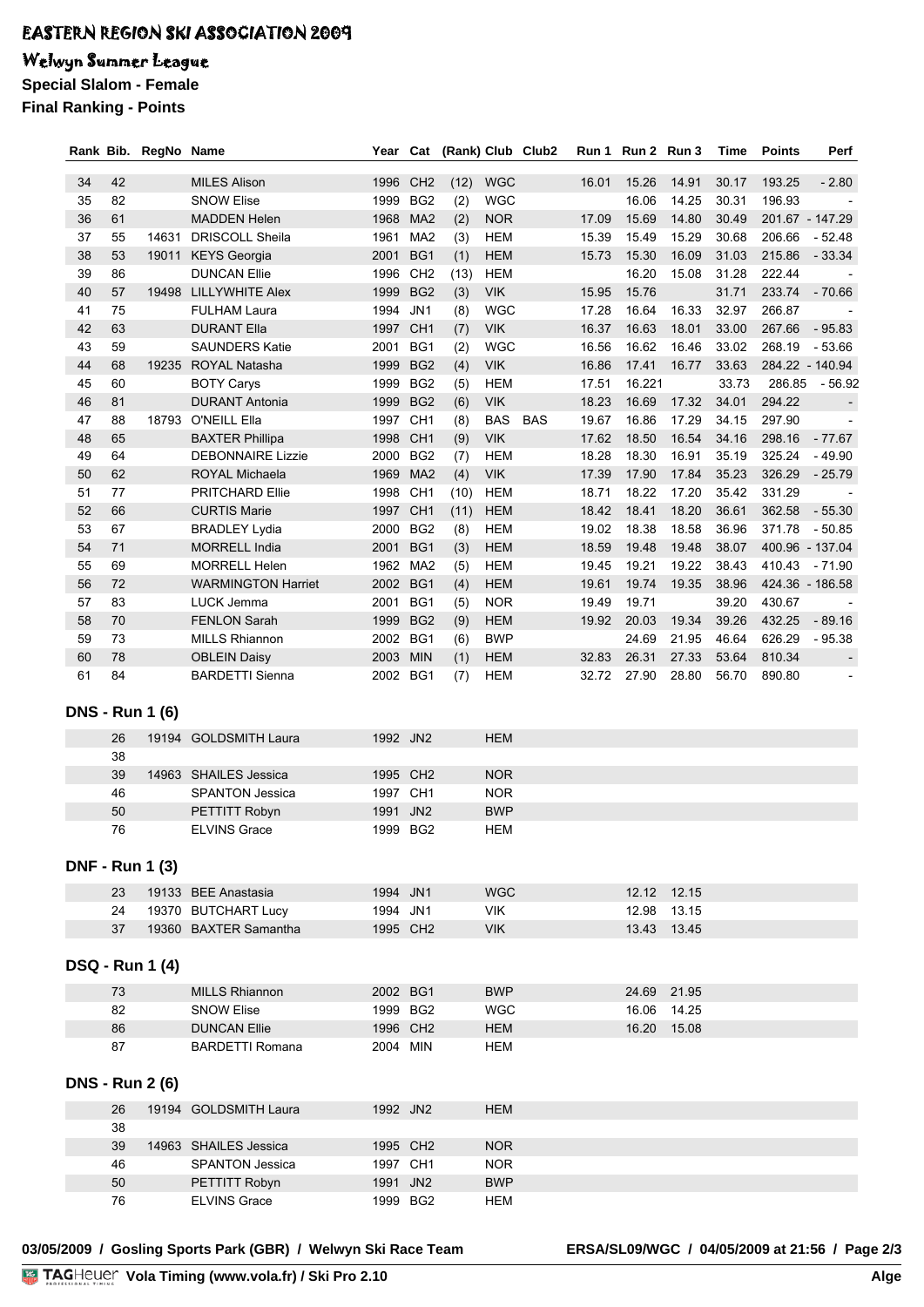## Welwyn Summer League

**Special Slalom - Female**

**Final Ranking - Points**

|    |        | Rank Bib. RegNo Name   |                           |          |                 | Year Cat (Rank) Club Club2 |            | Run 1 | Run 2 Run 3 |             | Time  | <b>Points</b> | Perf            |
|----|--------|------------------------|---------------------------|----------|-----------------|----------------------------|------------|-------|-------------|-------------|-------|---------------|-----------------|
| 34 | 42     |                        | <b>MILES Alison</b>       | 1996 CH2 |                 |                            | <b>WGC</b> | 16.01 | 15.26       | 14.91       | 30.17 | 193.25        | $-2.80$         |
| 35 | 82     |                        | <b>SNOW Elise</b>         | 1999     | BG <sub>2</sub> | (12)<br>(2)                | <b>WGC</b> |       | 16.06       | 14.25       | 30.31 | 196.93        |                 |
| 36 | 61     |                        | <b>MADDEN Helen</b>       | 1968     | MA <sub>2</sub> | (2)                        | <b>NOR</b> | 17.09 | 15.69       | 14.80       | 30.49 |               | 201.67 - 147.29 |
| 37 | 55     | 14631                  | <b>DRISCOLL Sheila</b>    | 1961     | MA <sub>2</sub> |                            | <b>HEM</b> | 15.39 | 15.49       | 15.29       | 30.68 | 206.66        | $-52.48$        |
| 38 | 53     | 19011                  | <b>KEYS Georgia</b>       | 2001     | BG1             | (3)<br>(1)                 | <b>HEM</b> | 15.73 | 15.30       | 16.09       | 31.03 | 215.86        | $-33.34$        |
| 39 | 86     |                        | <b>DUNCAN Ellie</b>       | 1996     | CH <sub>2</sub> | (13)                       | <b>HEM</b> |       | 16.20       | 15.08       | 31.28 | 222.44        |                 |
| 40 | 57     | 19498                  | LILLYWHITE Alex           | 1999     | BG <sub>2</sub> | (3)                        | <b>VIK</b> | 15.95 | 15.76       |             | 31.71 | 233.74        | $-70.66$        |
| 41 | 75     |                        | <b>FULHAM Laura</b>       | 1994     | JN1             | (8)                        | <b>WGC</b> | 17.28 | 16.64       | 16.33       | 32.97 | 266.87        |                 |
| 42 | 63     |                        | <b>DURANT Ella</b>        | 1997 CH1 |                 | (7)                        | <b>VIK</b> | 16.37 | 16.63       | 18.01       | 33.00 | 267.66        | $-95.83$        |
| 43 | 59     |                        | <b>SAUNDERS Katie</b>     | 2001     | BG1             | (2)                        | <b>WGC</b> | 16.56 | 16.62       | 16.46       | 33.02 | 268.19        | $-53.66$        |
| 44 | 68     | 19235                  | ROYAL Natasha             | 1999     | BG <sub>2</sub> | (4)                        | <b>VIK</b> | 16.86 | 17.41       | 16.77       | 33.63 |               | 284.22 - 140.94 |
| 45 | 60     |                        | <b>BOTY Carys</b>         | 1999     | BG <sub>2</sub> | (5)                        | <b>HEM</b> | 17.51 | 16.221      |             | 33.73 | 286.85        | - 56.92         |
| 46 | 81     |                        | <b>DURANT Antonia</b>     | 1999 BG2 |                 | (6)                        | <b>VIK</b> | 18.23 | 16.69       | 17.32       | 34.01 | 294.22        |                 |
| 47 | 88     |                        | 18793 O'NEILL Ella        | 1997 CH1 |                 | (8)                        | BAS BAS    | 19.67 | 16.86       | 17.29       | 34.15 | 297.90        |                 |
| 48 | 65     |                        | <b>BAXTER Phillipa</b>    | 1998     | CH <sub>1</sub> | (9)                        | <b>VIK</b> | 17.62 | 18.50       | 16.54       | 34.16 | 298.16        | $-77.67$        |
| 49 | 64     |                        | <b>DEBONNAIRE Lizzie</b>  | 2000     | BG <sub>2</sub> | (7)                        | <b>HEM</b> | 18.28 | 18.30       | 16.91       | 35.19 | 325.24        | - 49.90         |
| 50 | 62     |                        | ROYAL Michaela            | 1969     | MA <sub>2</sub> | (4)                        | <b>VIK</b> | 17.39 | 17.90       | 17.84       | 35.23 | 326.29        | $-25.79$        |
| 51 | 77     |                        | <b>PRITCHARD Ellie</b>    | 1998     | CH <sub>1</sub> | (10)                       | <b>HEM</b> | 18.71 | 18.22       | 17.20       | 35.42 | 331.29        |                 |
| 52 | 66     |                        | <b>CURTIS Marie</b>       | 1997 CH1 |                 | (11)                       | <b>HEM</b> | 18.42 | 18.41       | 18.20       | 36.61 | 362.58        | $-55.30$        |
| 53 | 67     |                        | <b>BRADLEY Lydia</b>      | 2000     | BG <sub>2</sub> | (8)                        | <b>HEM</b> | 19.02 | 18.38       | 18.58       | 36.96 | 371.78        | $-50.85$        |
| 54 | 71     |                        | <b>MORRELL India</b>      | 2001     | BG1             | (3)                        | <b>HEM</b> | 18.59 | 19.48       | 19.48       | 38.07 |               | 400.96 - 137.04 |
| 55 | 69     |                        | <b>MORRELL Helen</b>      | 1962 MA2 |                 | (5)                        | <b>HEM</b> | 19.45 | 19.21       | 19.22       | 38.43 | 410.43        | - 71.90         |
| 56 | $72\,$ |                        | <b>WARMINGTON Harriet</b> | 2002 BG1 |                 | (4)                        | <b>HEM</b> | 19.61 | 19.74       | 19.35       | 38.96 |               | 424.36 - 186.58 |
| 57 | 83     |                        | LUCK Jemma                | 2001     | BG1             | (5)                        | <b>NOR</b> | 19.49 | 19.71       |             | 39.20 | 430.67        |                 |
| 58 | 70     |                        | <b>FENLON Sarah</b>       | 1999 BG2 |                 | (9)                        | <b>HEM</b> | 19.92 | 20.03       | 19.34       | 39.26 | 432.25        | $-89.16$        |
| 59 | 73     |                        | <b>MILLS Rhiannon</b>     | 2002 BG1 |                 | (6)                        | <b>BWP</b> |       | 24.69       | 21.95       | 46.64 | 626.29        | $-95.38$        |
| 60 | 78     |                        | <b>OBLEIN Daisy</b>       | 2003 MIN |                 | (1)                        | <b>HEM</b> | 32.83 | 26.31       | 27.33       | 53.64 | 810.34        |                 |
| 61 | 84     |                        | <b>BARDETTI Sienna</b>    | 2002 BG1 |                 | (7)                        | <b>HEM</b> | 32.72 | 27.90       | 28.80       | 56.70 | 890.80        |                 |
|    |        |                        |                           |          |                 |                            |            |       |             |             |       |               |                 |
|    |        | <b>DNS - Run 1 (6)</b> |                           |          |                 |                            |            |       |             |             |       |               |                 |
|    | 26     |                        | 19194 GOLDSMITH Laura     | 1992 JN2 |                 |                            | <b>HEM</b> |       |             |             |       |               |                 |
|    | 38     |                        |                           |          |                 |                            |            |       |             |             |       |               |                 |
|    | 39     |                        | 14963 SHAILES Jessica     | 1995 CH2 |                 |                            | <b>NOR</b> |       |             |             |       |               |                 |
|    | 46     |                        | <b>SPANTON Jessica</b>    | 1997 CH1 |                 |                            | <b>NOR</b> |       |             |             |       |               |                 |
|    | 50     |                        | PETTITT Robyn             | 1991     | JN <sub>2</sub> |                            | <b>BWP</b> |       |             |             |       |               |                 |
|    | 76     |                        | <b>ELVINS Grace</b>       | 1999 BG2 |                 |                            | <b>HEM</b> |       |             |             |       |               |                 |
|    |        |                        |                           |          |                 |                            |            |       |             |             |       |               |                 |
|    |        | <b>DNF - Run 1 (3)</b> |                           |          |                 |                            |            |       |             |             |       |               |                 |
|    | 23     |                        | 19133 BEE Anastasia       | 1994 JN1 |                 |                            | <b>WGC</b> |       |             | 12.12 12.15 |       |               |                 |
|    | 24     |                        | 19370 BUTCHART Lucy       | 1994 JN1 |                 |                            | VIK        |       | 12.98       | 13.15       |       |               |                 |
|    | 37     |                        | 19360 BAXTER Samantha     | 1995 CH2 |                 |                            | <b>VIK</b> |       |             | 13.43 13.45 |       |               |                 |
|    |        |                        |                           |          |                 |                            |            |       |             |             |       |               |                 |
|    |        | <b>DSQ - Run 1 (4)</b> |                           |          |                 |                            |            |       |             |             |       |               |                 |
|    |        |                        |                           |          |                 |                            |            |       |             |             |       |               |                 |
|    | 73     |                        | <b>MILLS Rhiannon</b>     | 2002 BG1 |                 |                            | <b>BWP</b> |       |             | 24.69 21.95 |       |               |                 |
|    | 82     |                        | <b>SNOW Elise</b>         | 1999 BG2 |                 |                            | <b>WGC</b> |       |             | 16.06 14.25 |       |               |                 |
|    | 86     |                        | <b>DUNCAN Ellie</b>       | 1996 CH2 |                 |                            | <b>HEM</b> |       |             | 16.20 15.08 |       |               |                 |
|    | 87     |                        | <b>BARDETTI Romana</b>    | 2004 MIN |                 |                            | HEM        |       |             |             |       |               |                 |
|    |        | <b>DNS - Run 2 (6)</b> |                           |          |                 |                            |            |       |             |             |       |               |                 |
|    | 26     |                        | 19194 GOLDSMITH Laura     | 1992 JN2 |                 |                            | HEM        |       |             |             |       |               |                 |
|    | 38     |                        |                           |          |                 |                            |            |       |             |             |       |               |                 |
|    | 39     |                        | 14963 SHAILES Jessica     | 1995 CH2 |                 |                            | <b>NOR</b> |       |             |             |       |               |                 |
|    | 46     |                        | <b>SPANTON Jessica</b>    | 1997 CH1 |                 |                            | <b>NOR</b> |       |             |             |       |               |                 |
|    | 50     |                        | PETTITT Robyn             | 1991 JN2 |                 |                            | <b>BWP</b> |       |             |             |       |               |                 |
|    | 76     |                        | <b>ELVINS Grace</b>       | 1999 BG2 |                 |                            | <b>HEM</b> |       |             |             |       |               |                 |
|    |        |                        |                           |          |                 |                            |            |       |             |             |       |               |                 |

**03/05/2009 / Gosling Sports Park (GBR) / Welwyn Ski Race Team ERSA/SL09/WGC / 04/05/2009 at 21:56 / Page 2/3**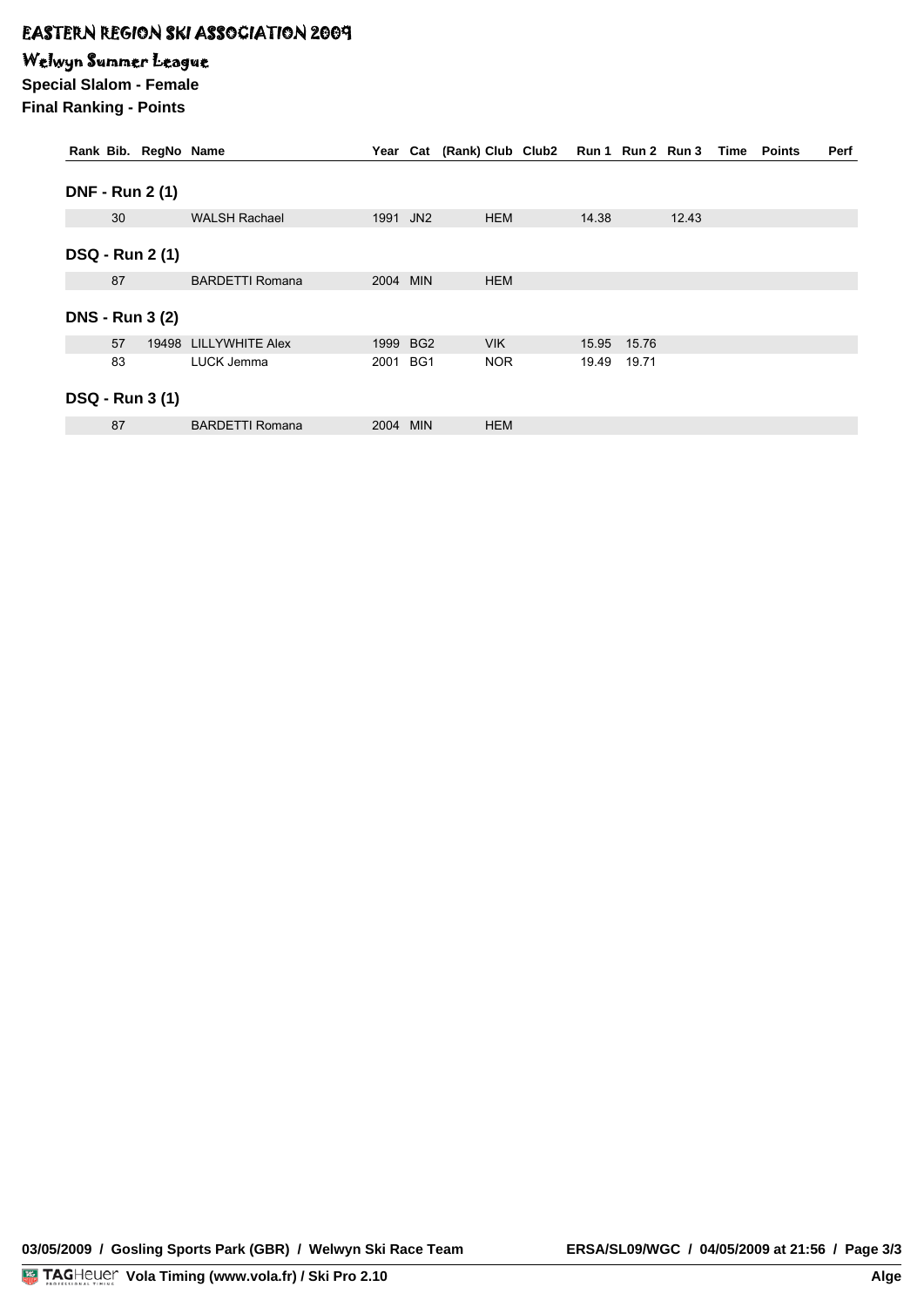### Welwyn Summer League

**Special Slalom - Female Final Ranking - Points**

| Rank Bib. RegNo Name   |                        |          |          | Year Cat (Rank) Club Club2 Run 1 Run 2 Run 3 Time Points |       |       |       |  | <b>Perf</b> |
|------------------------|------------------------|----------|----------|----------------------------------------------------------|-------|-------|-------|--|-------------|
| <b>DNF - Run 2 (1)</b> |                        |          |          |                                                          |       |       |       |  |             |
| 30                     | <b>WALSH Rachael</b>   | 1991 JN2 |          | <b>HEM</b>                                               | 14.38 |       | 12.43 |  |             |
| <b>DSQ - Run 2 (1)</b> |                        |          |          |                                                          |       |       |       |  |             |
| 87                     | <b>BARDETTI Romana</b> | 2004 MIN |          | <b>HEM</b>                                               |       |       |       |  |             |
| <b>DNS - Run 3 (2)</b> |                        |          |          |                                                          |       |       |       |  |             |
| 57                     | 19498 LILLYWHITE Alex  |          | 1999 BG2 | <b>VIK</b>                                               | 15.95 | 15.76 |       |  |             |
| 83                     | LUCK Jemma             | 2001 BG1 |          | <b>NOR</b>                                               | 19.49 | 19.71 |       |  |             |
| <b>DSQ - Run 3 (1)</b> |                        |          |          |                                                          |       |       |       |  |             |
| 87                     | <b>BARDETTI Romana</b> | 2004 MIN |          | <b>HEM</b>                                               |       |       |       |  |             |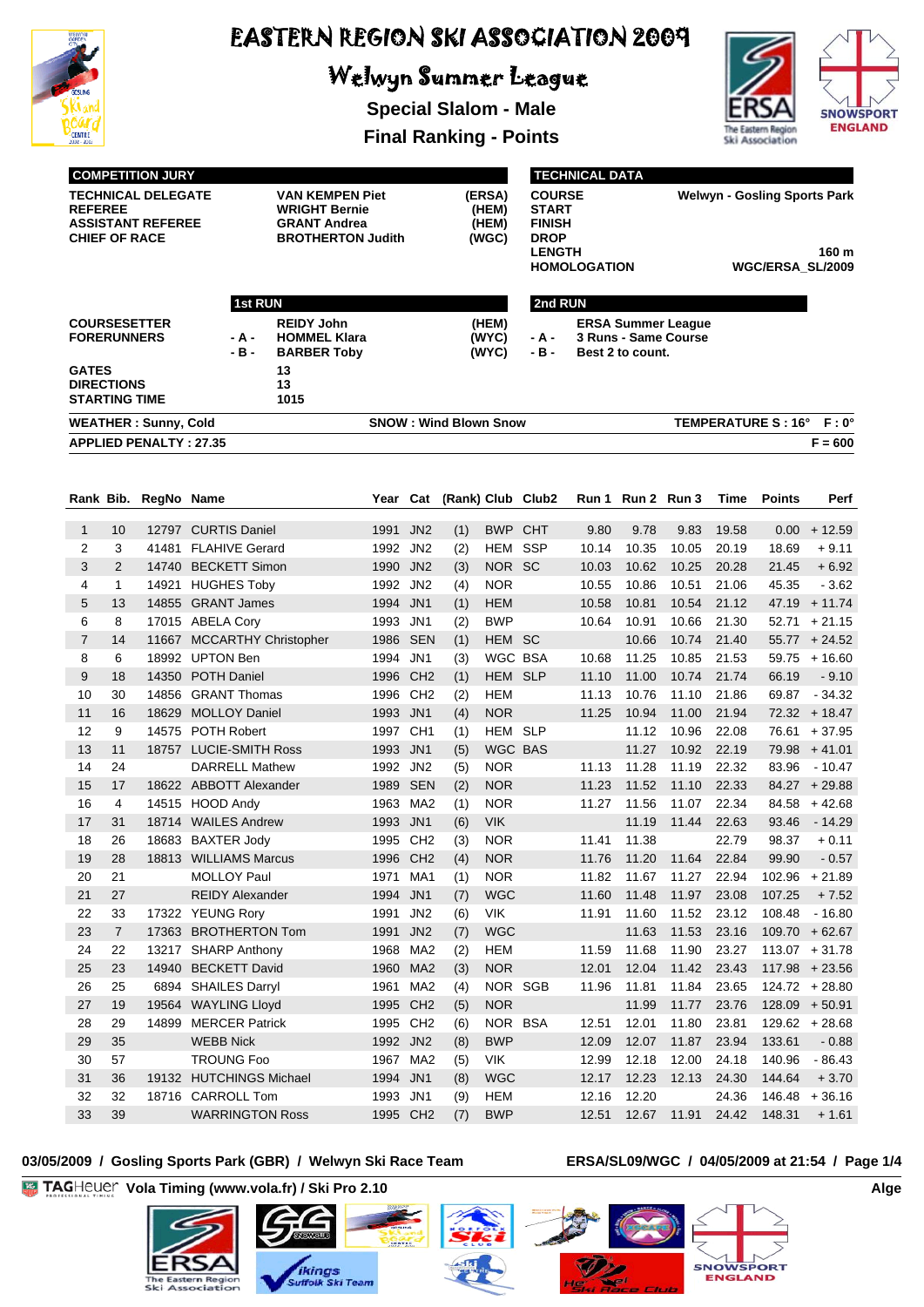

# Welwyn Summer League

**Special Slalom - Male Final Ranking - Points**





|                |                                    | <b>COMPETITION JURY</b>                               |                                             |                                                                                                   |                                   | <b>TECHNICAL DATA</b> |            |                                                                         |                   |         |                   |                                                                  |       |                            |                             |  |  |
|----------------|------------------------------------|-------------------------------------------------------|---------------------------------------------|---------------------------------------------------------------------------------------------------|-----------------------------------|-----------------------|------------|-------------------------------------------------------------------------|-------------------|---------|-------------------|------------------------------------------------------------------|-------|----------------------------|-----------------------------|--|--|
| <b>REFEREE</b> | <b>CHIEF OF RACE</b>               | <b>TECHNICAL DELEGATE</b><br><b>ASSISTANT REFEREE</b> |                                             | <b>VAN KEMPEN Piet</b><br><b>WRIGHT Bernie</b><br><b>GRANT Andrea</b><br><b>BROTHERTON Judith</b> | (ERSA)<br>(HEM)<br>(HEM)<br>(WGC) |                       |            | <b>COURSE</b><br>START<br><b>FINISH</b><br><b>DROP</b><br><b>LENGTH</b> | HOMOLOGATION      |         |                   | <b>Welwyn - Gosling Sports Park</b><br>160 m<br>WGC/ERSA_SL/2009 |       |                            |                             |  |  |
|                |                                    |                                                       |                                             |                                                                                                   |                                   |                       |            |                                                                         |                   |         |                   |                                                                  |       |                            |                             |  |  |
|                |                                    |                                                       | <b>1st RUN</b>                              |                                                                                                   |                                   |                       |            |                                                                         |                   | 2nd RUN |                   |                                                                  |       |                            |                             |  |  |
|                | <b>FORERUNNERS</b>                 | <b>COURSESETTER</b>                                   | - A -<br>- B -                              | <b>REIDY John</b><br><b>HOMMEL Klara</b><br><b>BARBER Toby</b>                                    | (HEM)<br>(WYC)<br>(WYC)           |                       |            |                                                                         | - A -<br>- B -    |         | Best 2 to count.  | <b>ERSA Summer League</b><br>3 Runs - Same Course                |       |                            |                             |  |  |
| <b>GATES</b>   | <b>DIRECTIONS</b><br>STARTING TIME |                                                       |                                             | 13<br>13<br>1015                                                                                  |                                   |                       |            |                                                                         |                   |         |                   |                                                                  |       |                            |                             |  |  |
|                | <b>WEATHER: Sunny, Cold</b>        |                                                       |                                             |                                                                                                   |                                   |                       |            | <b>SNOW: Wind Blown Snow</b>                                            |                   |         |                   |                                                                  |       | <b>TEMPERATURE S : 16°</b> | $F: 0^{\circ}$              |  |  |
|                |                                    | <b>APPLIED PENALTY: 27.35</b>                         |                                             |                                                                                                   |                                   |                       |            |                                                                         |                   |         |                   |                                                                  |       |                            | $F = 600$                   |  |  |
|                |                                    |                                                       |                                             |                                                                                                   |                                   |                       |            |                                                                         |                   |         |                   |                                                                  |       |                            |                             |  |  |
|                | Rank Bib.                          | RegNo Name                                            |                                             |                                                                                                   | Year                              | Cat                   |            |                                                                         | (Rank) Club Club2 |         | Run 1 Run 2 Run 3 |                                                                  | Time  | <b>Points</b>              | Perf                        |  |  |
| 1              | 10                                 |                                                       | 12797 CURTIS Daniel                         |                                                                                                   | 1991                              | JN <sub>2</sub>       | (1)        | <b>BWP CHT</b>                                                          |                   | 9.80    | 9.78              | 9.83                                                             | 19.58 | 0.00                       | $+12.59$                    |  |  |
| 2              | 3                                  |                                                       | 41481 FLAHIVE Gerard                        |                                                                                                   | 1992                              | JN <sub>2</sub>       | (2)        | <b>HEM SSP</b>                                                          |                   | 10.14   | 10.35             | 10.05                                                            | 20.19 | 18.69                      | $+9.11$                     |  |  |
| 3              | 2                                  |                                                       | 14740 BECKETT Simon                         |                                                                                                   | 1990                              | JN <sub>2</sub>       | (3)        | NOR SC                                                                  |                   | 10.03   | 10.62             | 10.25                                                            | 20.28 | 21.45                      | $+6.92$                     |  |  |
| 4              | $\mathbf{1}$                       | 14921                                                 | <b>HUGHES Toby</b>                          |                                                                                                   | 1992                              | JN <sub>2</sub>       | (4)        | <b>NOR</b>                                                              |                   | 10.55   | 10.86             | 10.51                                                            | 21.06 | 45.35                      | $-3.62$                     |  |  |
| 5              | 13                                 |                                                       | 14855 GRANT James                           |                                                                                                   | 1994                              | JN <sub>1</sub>       | (1)        | <b>HEM</b>                                                              |                   | 10.58   | 10.81             | 10.54                                                            | 21.12 | 47.19                      | $+11.74$                    |  |  |
| 6              | 8                                  |                                                       | 17015 ABELA Cory                            |                                                                                                   | 1993 JN1                          |                       | (2)        | <b>BWP</b>                                                              |                   | 10.64   | 10.91             | 10.66                                                            | 21.30 | 52.71                      | $+21.15$                    |  |  |
| $\overline{7}$ | 14                                 | 11667                                                 | <b>MCCARTHY Christopher</b>                 |                                                                                                   | 1986                              | <b>SEN</b>            | (1)        | HEM SC                                                                  |                   |         | 10.66             | 10.74                                                            | 21.40 |                            | $55.77 + 24.52$             |  |  |
| 8              | 6                                  |                                                       | 18992 UPTON Ben                             |                                                                                                   | 1994 JN1                          |                       | (3)        | WGC BSA                                                                 |                   | 10.68   | 11.25             | 10.85                                                            | 21.53 |                            | $59.75 + 16.60$             |  |  |
| 9              | 18                                 |                                                       | 14350 POTH Daniel                           |                                                                                                   | 1996                              | CH <sub>2</sub>       | (1)        | HEM SLP                                                                 |                   | 11.10   | 11.00             | 10.74                                                            | 21.74 | 66.19                      | $-9.10$                     |  |  |
| 10             | 30                                 |                                                       | 14856 GRANT Thomas                          |                                                                                                   |                                   | 1996 CH <sub>2</sub>  | (2)        | HEM                                                                     |                   | 11.13   | 10.76             | 11.10                                                            | 21.86 | 69.87                      | $-34.32$                    |  |  |
| 11             | 16                                 | 18629                                                 | <b>MOLLOY Daniel</b>                        |                                                                                                   | 1993 JN1                          |                       | (4)        | <b>NOR</b>                                                              |                   | 11.25   | 10.94             | 11.00                                                            | 21.94 |                            | $72.32 + 18.47$             |  |  |
| 12             | 9                                  |                                                       | 14575 POTH Robert                           |                                                                                                   | 1997                              | CH <sub>1</sub>       | (1)        | HEM SLP                                                                 |                   |         | 11.12             | 10.96                                                            | 22.08 |                            | $76.61 + 37.95$             |  |  |
| 13             | 11                                 |                                                       | 18757 LUCIE-SMITH Ross                      |                                                                                                   | 1993                              | JN1                   | (5)        | WGC BAS                                                                 |                   |         | 11.27             | 10.92                                                            | 22.19 |                            | $79.98 + 41.01$             |  |  |
| 14             | 24                                 |                                                       | <b>DARRELL Mathew</b>                       |                                                                                                   | 1992 JN2                          |                       | (5)        | <b>NOR</b>                                                              |                   | 11.13   | 11.28             | 11.19                                                            | 22.32 | 83.96                      | $-10.47$                    |  |  |
| 15             | 17                                 |                                                       | 18622 ABBOTT Alexander                      |                                                                                                   | 1989                              | <b>SEN</b>            | (2)        | <b>NOR</b>                                                              |                   | 11.23   | 11.52             | 11.10                                                            | 22.33 |                            | $84.27 + 29.88$             |  |  |
| 16             | 4                                  |                                                       | 14515 HOOD Andy                             |                                                                                                   | 1963                              | MA2                   | (1)        | <b>NOR</b>                                                              |                   | 11.27   | 11.56             | 11.07                                                            | 22.34 |                            | $84.58 + 42.68$             |  |  |
| 17             | 31                                 |                                                       | 18714 WAILES Andrew                         |                                                                                                   | 1993                              | JN1                   | (6)        | <b>VIK</b>                                                              |                   |         | 11.19             | 11.44                                                            | 22.63 | 93.46                      | - 14.29                     |  |  |
| 18<br>19       | 26<br>28                           |                                                       | 18683 BAXTER Jody                           |                                                                                                   | 1995 CH2                          |                       | (3)        | <b>NOR</b>                                                              |                   | 11.41   | 11.38             | 11.76  11.20  11.64  22.84                                       | 22.79 | 98.37<br>99.90             | $+0.11$                     |  |  |
| 20             | 21                                 |                                                       | 18813 WILLIAMS Marcus<br><b>MOLLOY Paul</b> |                                                                                                   | 1996 CH2<br>1971                  | MA1                   | (4)<br>(1) | <b>NOR</b><br><b>NOR</b>                                                |                   | 11.82   | 11.67             | 11.27                                                            | 22.94 |                            | $-0.57$<br>$102.96 + 21.89$ |  |  |
| 21             | 27                                 |                                                       | <b>REIDY Alexander</b>                      |                                                                                                   | 1994 JN1                          |                       | (7)        | <b>WGC</b>                                                              |                   | 11.60   | 11.48             | 11.97                                                            | 23.08 | 107.25                     | $+7.52$                     |  |  |
| 22             | 33                                 |                                                       | 17322 YEUNG Rory                            |                                                                                                   | 1991                              | JN <sub>2</sub>       | (6)        | VIK                                                                     |                   | 11.91   | 11.60             | 11.52                                                            | 23.12 | 108.48                     | $-16.80$                    |  |  |
| 23             | $\overline{7}$                     |                                                       | 17363 BROTHERTON Tom                        |                                                                                                   | 1991                              | JN <sub>2</sub>       | (7)        | <b>WGC</b>                                                              |                   |         | 11.63             | 11.53                                                            | 23.16 |                            | $109.70 + 62.67$            |  |  |
| 24             | 22                                 |                                                       | 13217 SHARP Anthony                         |                                                                                                   | 1968 MA2                          |                       | (2)        | <b>HEM</b>                                                              |                   | 11.59   | 11.68             | 11.90                                                            | 23.27 |                            | $113.07 + 31.78$            |  |  |
| 25             | 23                                 |                                                       | 14940 BECKETT David                         |                                                                                                   | 1960 MA2                          |                       | (3)        | <b>NOR</b>                                                              |                   | 12.01   | 12.04             | 11.42                                                            | 23.43 |                            | $117.98 + 23.56$            |  |  |
| 26             | 25                                 |                                                       | 6894 SHAILES Darryl                         |                                                                                                   | 1961                              | MA <sub>2</sub>       | (4)        | NOR SGB                                                                 |                   | 11.96   | 11.81             | 11.84                                                            | 23.65 |                            | $124.72 + 28.80$            |  |  |
| 27             | 19                                 |                                                       | 19564 WAYLING Lloyd                         |                                                                                                   | 1995 CH2                          |                       | (5)        | <b>NOR</b>                                                              |                   |         | 11.99             | 11.77                                                            | 23.76 |                            | $128.09 + 50.91$            |  |  |
| 28             | 29                                 | 14899                                                 | <b>MERCER Patrick</b>                       |                                                                                                   | 1995 CH2                          |                       | (6)        | NOR BSA                                                                 |                   | 12.51   | 12.01             | 11.80                                                            | 23.81 |                            | $129.62 + 28.68$            |  |  |
| 29             | 35                                 |                                                       | <b>WEBB Nick</b>                            |                                                                                                   | 1992 JN2                          |                       | (8)        | <b>BWP</b>                                                              |                   | 12.09   | 12.07             | 11.87                                                            | 23.94 | 133.61                     | $-0.88$                     |  |  |
| 30             | 57                                 |                                                       | <b>TROUNG Foo</b>                           |                                                                                                   | 1967 MA2                          |                       | (5)        | VIK                                                                     |                   | 12.99   | 12.18             | 12.00                                                            | 24.18 | 140.96                     | $-86.43$                    |  |  |
| 31             | 36                                 |                                                       | 19132 HUTCHINGS Michael                     |                                                                                                   | 1994 JN1                          |                       | (8)        | <b>WGC</b>                                                              |                   | 12.17   | 12.23             | 12.13                                                            | 24.30 | 144.64                     | $+3.70$                     |  |  |
| 32             | 32                                 |                                                       | 18716 CARROLL Tom                           |                                                                                                   | 1993 JN1                          |                       | (9)        | <b>HEM</b>                                                              |                   | 12.16   | 12.20             |                                                                  | 24.36 | 146.48                     | $+36.16$                    |  |  |
| 33             | 39                                 |                                                       | <b>WARRINGTON Ross</b>                      |                                                                                                   | 1995 CH2                          |                       | (7)        | <b>BWP</b>                                                              |                   | 12.51   | 12.67             | 11.91                                                            | 24.42 | 148.31                     | $+1.61$                     |  |  |

#### **03/05/2009 / Gosling Sports Park (GBR) / Welwyn Ski Race Team ERSA/SL09/WGC / 04/05/2009 at 21:54 / Page 1/4**

 $ski$ 

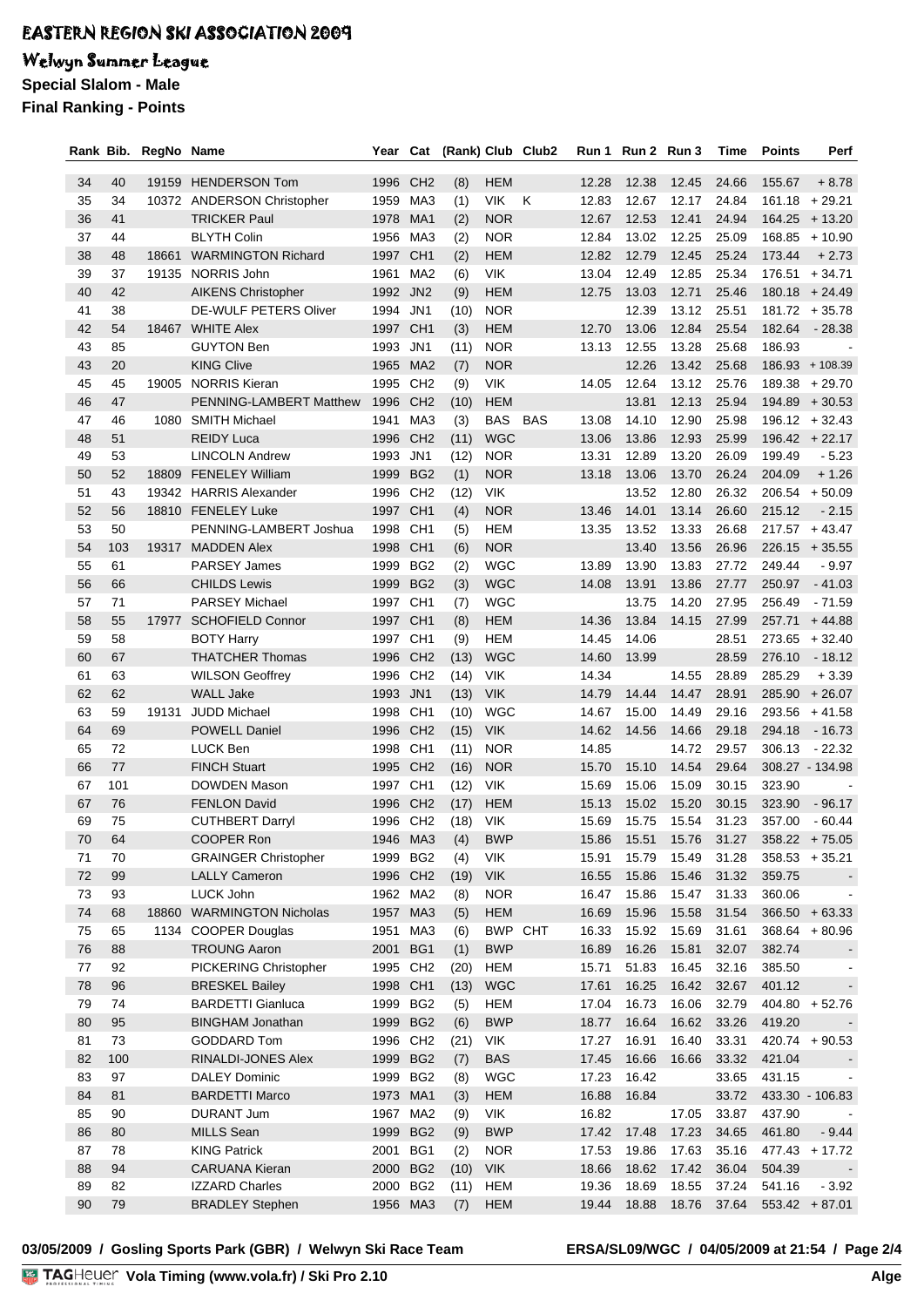### Welwyn Summer League

**Special Slalom - Male**

**Final Ranking - Points**

| Rank Bib. |     | RegNo Name |                             | Year     | Cat             |      |            | (Rank) Club Club2 |       | Run 1 Run 2 Run 3 |       | Time  | Points | Perf             |
|-----------|-----|------------|-----------------------------|----------|-----------------|------|------------|-------------------|-------|-------------------|-------|-------|--------|------------------|
| 34        | 40  | 19159      | <b>HENDERSON Tom</b>        | 1996     | CH <sub>2</sub> | (8)  | <b>HEM</b> |                   | 12.28 | 12.38             | 12.45 | 24.66 | 155.67 | $+8.78$          |
| 35        | 34  | 10372      | <b>ANDERSON Christopher</b> | 1959     | MA3             | (1)  | <b>VIK</b> | K                 | 12.83 | 12.67             | 12.17 | 24.84 | 161.18 | $+29.21$         |
| 36        | 41  |            | <b>TRICKER Paul</b>         | 1978     | MA <sub>1</sub> | (2)  | <b>NOR</b> |                   | 12.67 | 12.53             | 12.41 | 24.94 | 164.25 | $+13.20$         |
| 37        | 44  |            | <b>BLYTH Colin</b>          | 1956     | MA3             | (2)  | <b>NOR</b> |                   | 12.84 | 13.02             | 12.25 | 25.09 | 168.85 | $+10.90$         |
| 38        | 48  | 18661      | <b>WARMINGTON Richard</b>   | 1997     | CH <sub>1</sub> | (2)  | <b>HEM</b> |                   | 12.82 | 12.79             | 12.45 | 25.24 | 173.44 | $+2.73$          |
| 39        | 37  | 19135      | NORRIS John                 | 1961     | MA2             | (6)  | <b>VIK</b> |                   | 13.04 | 12.49             | 12.85 | 25.34 | 176.51 | $+34.71$         |
| 40        | 42  |            | <b>AIKENS Christopher</b>   | 1992     | JN <sub>2</sub> | (9)  | <b>HEM</b> |                   | 12.75 | 13.03             | 12.71 | 25.46 |        | $180.18 + 24.49$ |
| 41        | 38  |            | DE-WULF PETERS Oliver       | 1994     | JN <sub>1</sub> | (10) | <b>NOR</b> |                   |       | 12.39             | 13.12 | 25.51 |        | $181.72 + 35.78$ |
| 42        | 54  | 18467      | <b>WHITE Alex</b>           | 1997     | CH <sub>1</sub> | (3)  | <b>HEM</b> |                   | 12.70 | 13.06             | 12.84 | 25.54 | 182.64 | $-28.38$         |
| 43        | 85  |            | <b>GUYTON Ben</b>           | 1993     | JN <sub>1</sub> | (11) | <b>NOR</b> |                   | 13.13 | 12.55             | 13.28 | 25.68 | 186.93 |                  |
| 43        | 20  |            | <b>KING Clive</b>           | 1965     | MA <sub>2</sub> | (7)  | <b>NOR</b> |                   |       | 12.26             | 13.42 | 25.68 |        | 186.93 + 108.39  |
| 45        | 45  | 19005      | <b>NORRIS Kieran</b>        | 1995     | CH <sub>2</sub> | (9)  | <b>VIK</b> |                   | 14.05 | 12.64             | 13.12 | 25.76 | 189.38 | $+29.70$         |
| 46        | 47  |            | PENNING-LAMBERT Matthew     | 1996     | CH <sub>2</sub> | (10) | <b>HEM</b> |                   |       | 13.81             | 12.13 | 25.94 | 194.89 | $+30.53$         |
| 47        | 46  | 1080       | <b>SMITH Michael</b>        | 1941     | MA3             | (3)  | <b>BAS</b> | <b>BAS</b>        | 13.08 | 14.10             | 12.90 | 25.98 |        | $196.12 + 32.43$ |
| 48        | 51  |            | <b>REIDY Luca</b>           | 1996     | CH <sub>2</sub> | (11) | <b>WGC</b> |                   | 13.06 | 13.86             | 12.93 | 25.99 |        | $196.42 + 22.17$ |
| 49        | 53  |            | <b>LINCOLN Andrew</b>       | 1993     | JN <sub>1</sub> | (12) | <b>NOR</b> |                   | 13.31 | 12.89             | 13.20 | 26.09 | 199.49 | $-5.23$          |
| 50        | 52  |            | 18809 FENELEY William       | 1999     | BG <sub>2</sub> | (1)  | <b>NOR</b> |                   | 13.18 | 13.06             | 13.70 | 26.24 | 204.09 | $+1.26$          |
| 51        | 43  |            | 19342 HARRIS Alexander      | 1996     | CH <sub>2</sub> | (12) | <b>VIK</b> |                   |       | 13.52             | 12.80 | 26.32 |        | $206.54 + 50.09$ |
| 52        | 56  |            | 18810 FENELEY Luke          | 1997     | CH <sub>1</sub> | (4)  | <b>NOR</b> |                   | 13.46 | 14.01             | 13.14 | 26.60 | 215.12 | $-2.15$          |
| 53        | 50  |            | PENNING-LAMBERT Joshua      | 1998     | CH <sub>1</sub> | (5)  | <b>HEM</b> |                   | 13.35 | 13.52             | 13.33 | 26.68 |        | $217.57 + 43.47$ |
| 54        | 103 |            | 19317 MADDEN Alex           | 1998     | CH <sub>1</sub> | (6)  | <b>NOR</b> |                   |       | 13.40             | 13.56 | 26.96 | 226.15 | $+35.55$         |
| 55        | 61  |            | <b>PARSEY James</b>         | 1999     | BG <sub>2</sub> | (2)  | <b>WGC</b> |                   | 13.89 | 13.90             | 13.83 | 27.72 | 249.44 | $-9.97$          |
| 56        | 66  |            | <b>CHILDS Lewis</b>         | 1999     | BG <sub>2</sub> | (3)  | <b>WGC</b> |                   | 14.08 | 13.91             | 13.86 | 27.77 | 250.97 | $-41.03$         |
| 57        | 71  |            | <b>PARSEY Michael</b>       | 1997     | CH <sub>1</sub> | (7)  | <b>WGC</b> |                   |       | 13.75             | 14.20 | 27.95 | 256.49 | $-71.59$         |
| 58        | 55  | 17977      | <b>SCHOFIELD Connor</b>     | 1997     | CH <sub>1</sub> | (8)  | <b>HEM</b> |                   | 14.36 | 13.84             | 14.15 | 27.99 | 257.71 | $+44.88$         |
| 59        | 58  |            | <b>BOTY Harry</b>           | 1997     | CH <sub>1</sub> | (9)  | <b>HEM</b> |                   | 14.45 | 14.06             |       | 28.51 | 273.65 | $+32.40$         |
| 60        | 67  |            | <b>THATCHER Thomas</b>      | 1996     | CH <sub>2</sub> | (13) | <b>WGC</b> |                   | 14.60 | 13.99             |       | 28.59 | 276.10 | $-18.12$         |
| 61        | 63  |            | <b>WILSON Geoffrey</b>      | 1996     | CH <sub>2</sub> | (14) | <b>VIK</b> |                   | 14.34 |                   | 14.55 | 28.89 | 285.29 | $+3.39$          |
| 62        | 62  |            | <b>WALL Jake</b>            | 1993     | JN <sub>1</sub> | (13) | <b>VIK</b> |                   | 14.79 | 14.44             | 14.47 | 28.91 | 285.90 | $+26.07$         |
| 63        | 59  | 19131      | <b>JUDD Michael</b>         | 1998     | CH <sub>1</sub> | (10) | <b>WGC</b> |                   | 14.67 | 15.00             | 14.49 | 29.16 | 293.56 | + 41.58          |
| 64        | 69  |            | <b>POWELL Daniel</b>        | 1996     | CH <sub>2</sub> | (15) | <b>VIK</b> |                   | 14.62 | 14.56             | 14.66 | 29.18 | 294.18 | $-16.73$         |
| 65        | 72  |            | <b>LUCK Ben</b>             | 1998     | CH <sub>1</sub> | (11) | <b>NOR</b> |                   | 14.85 |                   | 14.72 | 29.57 | 306.13 | $-22.32$         |
| 66        | 77  |            | <b>FINCH Stuart</b>         | 1995     | CH <sub>2</sub> | (16) | <b>NOR</b> |                   | 15.70 | 15.10             | 14.54 | 29.64 |        | 308.27 - 134.98  |
| 67        | 101 |            | <b>DOWDEN Mason</b>         | 1997     | CH <sub>1</sub> | (12) | <b>VIK</b> |                   | 15.69 | 15.06             | 15.09 | 30.15 | 323.90 |                  |
| 67        | 76  |            | <b>FENLON David</b>         | 1996     | CH <sub>2</sub> | (17) | <b>HEM</b> |                   | 15.13 | 15.02             | 15.20 | 30.15 | 323.90 | $-96.17$         |
| 69        | 75  |            | <b>CUTHBERT Darryl</b>      | 1996 CH2 |                 | (18) | <b>VIK</b> |                   | 15.69 | 15.75             | 15.54 | 31.23 | 357.00 | $-60.44$         |
| 70        | 64  |            | COOPER Ron                  | 1946     | MA3             | (4)  | <b>BWP</b> |                   | 15.86 | 15.51             | 15.76 | 31.27 |        | $358.22 + 75.05$ |
| 71        | 70  |            | <b>GRAINGER Christopher</b> | 1999     | BG <sub>2</sub> | (4)  | <b>VIK</b> |                   | 15.91 | 15.79             | 15.49 | 31.28 |        | $358.53 + 35.21$ |
| 72        | 99  |            | <b>LALLY Cameron</b>        | 1996 CH2 |                 | (19) | <b>VIK</b> |                   | 16.55 | 15.86             | 15.46 | 31.32 | 359.75 |                  |
| 73        | 93  |            | LUCK John                   | 1962 MA2 |                 | (8)  | <b>NOR</b> |                   | 16.47 | 15.86             | 15.47 | 31.33 | 360.06 |                  |
| 74        | 68  |            | 18860 WARMINGTON Nicholas   | 1957 MA3 |                 | (5)  | <b>HEM</b> |                   | 16.69 | 15.96             | 15.58 | 31.54 |        | $366.50 + 63.33$ |
| 75        | 65  |            | 1134 COOPER Douglas         | 1951     | MA3             | (6)  | BWP CHT    |                   | 16.33 | 15.92             | 15.69 | 31.61 |        | $368.64 + 80.96$ |
| 76        | 88  |            | <b>TROUNG Aaron</b>         | 2001     | BG1             | (1)  | <b>BWP</b> |                   | 16.89 | 16.26             | 15.81 | 32.07 | 382.74 |                  |
| 77        | 92  |            | PICKERING Christopher       | 1995 CH2 |                 | (20) | <b>HEM</b> |                   | 15.71 | 51.83             | 16.45 | 32.16 | 385.50 |                  |
| 78        | 96  |            | <b>BRESKEL Bailey</b>       | 1998 CH1 |                 | (13) | <b>WGC</b> |                   | 17.61 | 16.25             | 16.42 | 32.67 | 401.12 |                  |
| 79        | 74  |            | <b>BARDETTI Gianluca</b>    | 1999 BG2 |                 | (5)  | <b>HEM</b> |                   | 17.04 | 16.73             | 16.06 | 32.79 |        | $404.80 + 52.76$ |
| 80        | 95  |            | <b>BINGHAM Jonathan</b>     | 1999     | BG <sub>2</sub> | (6)  | <b>BWP</b> |                   | 18.77 | 16.64             | 16.62 | 33.26 | 419.20 |                  |
| 81        | 73  |            | <b>GODDARD Tom</b>          | 1996     | CH <sub>2</sub> | (21) | <b>VIK</b> |                   | 17.27 | 16.91             | 16.40 | 33.31 |        | $420.74 + 90.53$ |
| 82        | 100 |            | RINALDI-JONES Alex          | 1999     | BG <sub>2</sub> | (7)  | <b>BAS</b> |                   | 17.45 | 16.66             | 16.66 | 33.32 | 421.04 |                  |
| 83        | 97  |            | <b>DALEY Dominic</b>        | 1999     | BG <sub>2</sub> | (8)  | <b>WGC</b> |                   | 17.23 | 16.42             |       | 33.65 | 431.15 |                  |
| 84        | 81  |            | <b>BARDETTI Marco</b>       | 1973     | MA1             | (3)  | <b>HEM</b> |                   | 16.88 | 16.84             |       | 33.72 |        | 433.30 - 106.83  |
| 85        | 90  |            | <b>DURANT Jum</b>           | 1967     | MA2             | (9)  | VIK        |                   | 16.82 |                   | 17.05 | 33.87 | 437.90 |                  |
| 86        | 80  |            | <b>MILLS Sean</b>           | 1999     | BG <sub>2</sub> | (9)  | <b>BWP</b> |                   | 17.42 | 17.48             | 17.23 | 34.65 | 461.80 | $-9.44$          |
| 87        | 78  |            | <b>KING Patrick</b>         | 2001     | BG1             | (2)  | <b>NOR</b> |                   | 17.53 | 19.86             | 17.63 | 35.16 |        | $477.43 + 17.72$ |
| 88        | 94  |            | <b>CARUANA Kieran</b>       | 2000 BG2 |                 | (10) | <b>VIK</b> |                   | 18.66 | 18.62             | 17.42 | 36.04 | 504.39 |                  |
| 89        | 82  |            | <b>IZZARD Charles</b>       | 2000 BG2 |                 | (11) | <b>HEM</b> |                   | 19.36 | 18.69             | 18.55 | 37.24 | 541.16 | $-3.92$          |
| 90        | 79  |            | <b>BRADLEY Stephen</b>      | 1956 MA3 |                 | (7)  | <b>HEM</b> |                   | 19.44 | 18.88             | 18.76 | 37.64 |        | $553.42 + 87.01$ |

#### **03/05/2009 / Gosling Sports Park (GBR) / Welwyn Ski Race Team ERSA/SL09/WGC / 04/05/2009 at 21:54 / Page 2/4**

<u>Volanda va Ser</u>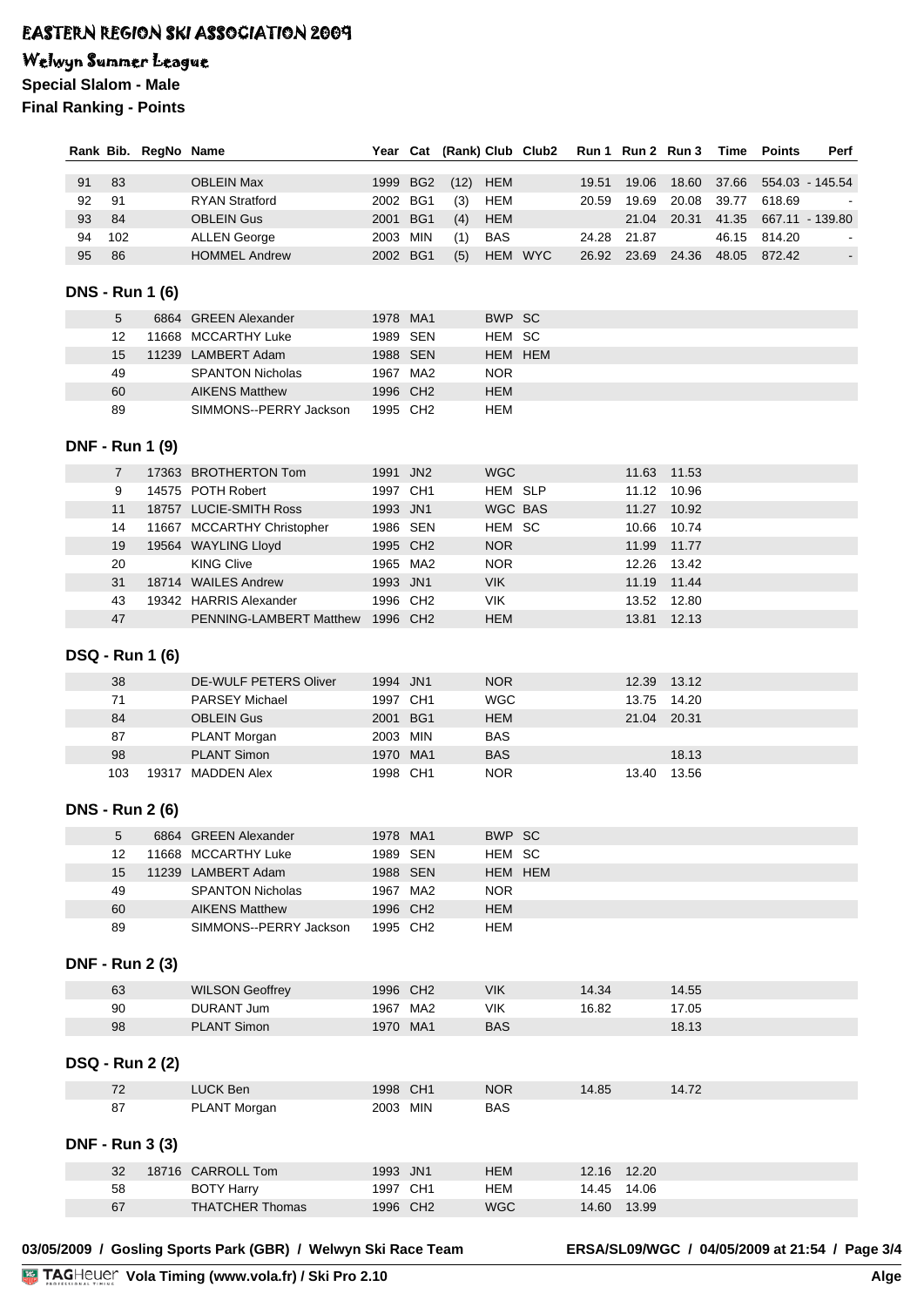## Welwyn Summer League

**Special Slalom - Male**

**Final Ranking - Points**

|    |                | Rank Bib. RegNo Name   |                                    |                      |          |      |                          | Year Cat (Rank) Club Club2 |       | Run 1 Run 2 Run 3 |             | Time        | <b>Points</b> | Perf            |
|----|----------------|------------------------|------------------------------------|----------------------|----------|------|--------------------------|----------------------------|-------|-------------------|-------------|-------------|---------------|-----------------|
| 91 | 83             |                        | <b>OBLEIN Max</b>                  | 1999 BG2             |          | (12) | <b>HEM</b>               |                            | 19.51 | 19.06             | 18.60       | 37.66       |               | 554.03 - 145.54 |
| 92 | 91             |                        | <b>RYAN Stratford</b>              | 2002 BG1             |          | (3)  | <b>HEM</b>               |                            | 20.59 | 19.69             | 20.08       | 39.77       | 618.69        |                 |
| 93 | 84             |                        | <b>OBLEIN Gus</b>                  | 2001 BG1             |          | (4)  | <b>HEM</b>               |                            |       | 21.04             | 20.31       | 41.35       |               | 667.11 - 139.80 |
| 94 | 102            |                        | <b>ALLEN George</b>                | 2003 MIN             |          | (1)  | <b>BAS</b>               |                            | 24.28 | 21.87             |             | 46.15       | 814.20        |                 |
| 95 | 86             |                        | <b>HOMMEL Andrew</b>               | 2002 BG1             |          | (5)  |                          | HEM WYC                    |       | 26.92 23.69       |             | 24.36 48.05 | 872.42        | $\blacksquare$  |
|    |                |                        |                                    |                      |          |      |                          |                            |       |                   |             |             |               |                 |
|    |                | <b>DNS - Run 1 (6)</b> |                                    |                      |          |      |                          |                            |       |                   |             |             |               |                 |
|    | 5              |                        | 6864 GREEN Alexander               | 1978 MA1             |          |      | BWP SC                   |                            |       |                   |             |             |               |                 |
|    | 12             |                        | 11668 MCCARTHY Luke                | 1989 SEN             |          |      | HEM SC                   |                            |       |                   |             |             |               |                 |
|    | 15             |                        | 11239 LAMBERT Adam                 | 1988 SEN             |          |      |                          | <b>HEM HEM</b>             |       |                   |             |             |               |                 |
|    | 49             |                        | <b>SPANTON Nicholas</b>            | 1967 MA2             |          |      | <b>NOR</b>               |                            |       |                   |             |             |               |                 |
|    | 60             |                        | <b>AIKENS Matthew</b>              | 1996 CH2             |          |      | <b>HEM</b>               |                            |       |                   |             |             |               |                 |
|    | 89             |                        | SIMMONS--PERRY Jackson             | 1995 CH2             |          |      | HEM                      |                            |       |                   |             |             |               |                 |
|    |                |                        |                                    |                      |          |      |                          |                            |       |                   |             |             |               |                 |
|    |                | <b>DNF - Run 1 (9)</b> |                                    |                      |          |      |                          |                            |       |                   |             |             |               |                 |
|    | $\overline{7}$ |                        | 17363 BROTHERTON Tom               | 1991 JN2             |          |      | <b>WGC</b>               |                            |       |                   | 11.63 11.53 |             |               |                 |
|    | 9              |                        | 14575 POTH Robert                  | 1997 CH1             |          |      | HEM SLP                  |                            |       |                   | 11.12 10.96 |             |               |                 |
|    | 11             |                        | 18757 LUCIE-SMITH Ross             | 1993 JN1             |          |      | WGC BAS                  |                            |       |                   | 11.27 10.92 |             |               |                 |
|    | 14             |                        | 11667 MCCARTHY Christopher         | 1986 SEN             |          |      | HEM SC                   |                            |       |                   | 10.66 10.74 |             |               |                 |
|    | 19             |                        | 19564 WAYLING Lloyd                | 1995 CH2             |          |      | <b>NOR</b>               |                            |       |                   | 11.99 11.77 |             |               |                 |
|    | 20             |                        | <b>KING Clive</b>                  | 1965 MA2             |          |      | <b>NOR</b>               |                            |       |                   | 12.26 13.42 |             |               |                 |
|    | 31             |                        | 18714 WAILES Andrew                | 1993 JN1             |          |      | <b>VIK</b>               |                            |       |                   | 11.19 11.44 |             |               |                 |
|    | 43             |                        | 19342 HARRIS Alexander             | 1996 CH2             |          |      | <b>VIK</b>               |                            |       |                   | 13.52 12.80 |             |               |                 |
|    | 47             |                        | PENNING-LAMBERT Matthew 1996 CH2   |                      |          |      | <b>HEM</b>               |                            |       |                   | 13.81 12.13 |             |               |                 |
|    |                | <b>DSQ - Run 1 (6)</b> |                                    |                      |          |      |                          |                            |       |                   |             |             |               |                 |
|    |                |                        |                                    |                      |          |      |                          |                            |       |                   |             |             |               |                 |
|    | 38             |                        | DE-WULF PETERS Oliver              | 1994 JN1             |          |      | <b>NOR</b>               |                            |       |                   | 12.39 13.12 |             |               |                 |
|    | 71             |                        | <b>PARSEY Michael</b>              | 1997 CH1             |          |      | <b>WGC</b>               |                            |       |                   | 13.75 14.20 |             |               |                 |
|    | 84<br>87       |                        | <b>OBLEIN Gus</b>                  | 2001 BG1<br>2003 MIN |          |      | <b>HEM</b><br><b>BAS</b> |                            |       |                   | 21.04 20.31 |             |               |                 |
|    | 98             |                        | PLANT Morgan<br><b>PLANT Simon</b> | 1970 MA1             |          |      | <b>BAS</b>               |                            |       |                   | 18.13       |             |               |                 |
|    | 103            |                        | 19317 MADDEN Alex                  | 1998 CH1             |          |      | <b>NOR</b>               |                            |       |                   | 13.40 13.56 |             |               |                 |
|    |                |                        |                                    |                      |          |      |                          |                            |       |                   |             |             |               |                 |
|    |                | <b>DNS - Run 2 (6)</b> |                                    |                      |          |      |                          |                            |       |                   |             |             |               |                 |
|    | 5              |                        | 6864 GREEN Alexander               | 1978 MA1             |          |      | BWP SC                   |                            |       |                   |             |             |               |                 |
|    | 12             |                        | 11668 MCCARTHY Luke                | 1989 SEN             |          |      | HEM SC                   |                            |       |                   |             |             |               |                 |
|    | 15             |                        | 11239 LAMBERT Adam                 | 1988 SEN             |          |      |                          | HEM HEM                    |       |                   |             |             |               |                 |
|    | 49             |                        | <b>SPANTON Nicholas</b>            | 1967 MA2             |          |      | <b>NOR</b>               |                            |       |                   |             |             |               |                 |
|    | 60             |                        | <b>AIKENS Matthew</b>              | 1996 CH2             |          |      | <b>HEM</b>               |                            |       |                   |             |             |               |                 |
|    | 89             |                        | SIMMONS--PERRY Jackson             | 1995 CH2             |          |      | <b>HEM</b>               |                            |       |                   |             |             |               |                 |
|    |                |                        |                                    |                      |          |      |                          |                            |       |                   |             |             |               |                 |
|    |                | <b>DNF - Run 2 (3)</b> |                                    |                      |          |      |                          |                            |       |                   |             |             |               |                 |
|    | 63             |                        | <b>WILSON Geoffrey</b>             | 1996 CH2             |          |      | <b>VIK</b>               |                            | 14.34 |                   | 14.55       |             |               |                 |
|    | 90             |                        | DURANT Jum                         |                      | 1967 MA2 |      | <b>VIK</b>               |                            | 16.82 |                   | 17.05       |             |               |                 |
|    | 98             |                        | <b>PLANT Simon</b>                 | 1970 MA1             |          |      | <b>BAS</b>               |                            |       |                   | 18.13       |             |               |                 |
|    |                |                        |                                    |                      |          |      |                          |                            |       |                   |             |             |               |                 |
|    |                | <b>DSQ - Run 2 (2)</b> |                                    |                      |          |      |                          |                            |       |                   |             |             |               |                 |
|    | 72             |                        | LUCK Ben                           | 1998 CH1             |          |      | <b>NOR</b>               |                            | 14.85 |                   | 14.72       |             |               |                 |
|    | 87             |                        | PLANT Morgan                       | 2003 MIN             |          |      | <b>BAS</b>               |                            |       |                   |             |             |               |                 |
|    |                |                        |                                    |                      |          |      |                          |                            |       |                   |             |             |               |                 |
|    |                | <b>DNF - Run 3 (3)</b> |                                    |                      |          |      |                          |                            |       |                   |             |             |               |                 |
|    | 32             |                        | 18716 CARROLL Tom                  | 1993 JN1             |          |      | <b>HEM</b>               |                            |       | 12.16 12.20       |             |             |               |                 |
|    | 58             |                        | <b>BOTY Harry</b>                  | 1997 CH1             |          |      | <b>HEM</b>               |                            | 14.45 | 14.06             |             |             |               |                 |
|    | 67             |                        | <b>THATCHER Thomas</b>             | 1996 CH2             |          |      | <b>WGC</b>               |                            |       | 14.60 13.99       |             |             |               |                 |
|    |                |                        |                                    |                      |          |      |                          |                            |       |                   |             |             |               |                 |

**03/05/2009 / Gosling Sports Park (GBR) / Welwyn Ski Race Team ERSA/SL09/WGC / 04/05/2009 at 21:54 / Page 3/4**